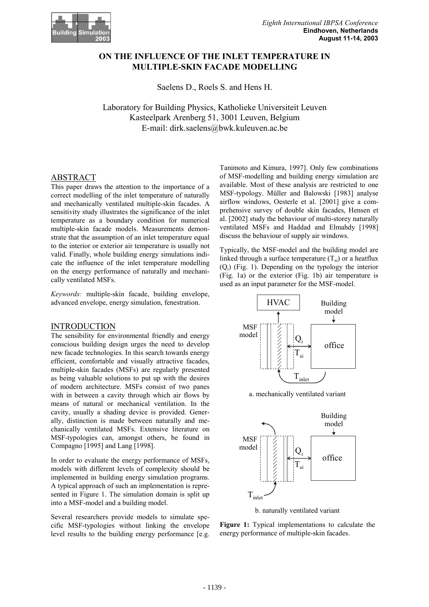

# **ON THE INFLUENCE OF THE INLET TEMPERATURE IN MULTIPLE-SKIN FACADE MODELLING**

Saelens D., Roels S. and Hens H.

Laboratory for Building Physics, Katholieke Universiteit Leuven Kasteelpark Arenberg 51, 3001 Leuven, Belgium E-mail: dirk.saelens@bwk.kuleuven.ac.be

## ABSTRACT

This paper draws the attention to the importance of a correct modelling of the inlet temperature of naturally and mechanically ventilated multiple-skin facades. A sensitivity study illustrates the significance of the inlet temperature as a boundary condition for numerical multiple-skin facade models. Measurements demonstrate that the assumption of an inlet temperature equal to the interior or exterior air temperature is usually not valid. Finally, whole building energy simulations indicate the influence of the inlet temperature modelling on the energy performance of naturally and mechanically ventilated MSFs.

*Keywords:* multiple-skin facade, building envelope, advanced envelope, energy simulation, fenestration.

### INTRODUCTION

The sensibility for environmental friendly and energy conscious building design urges the need to develop new facade technologies. In this search towards energy efficient, comfortable and visually attractive facades, multiple-skin facades (MSFs) are regularly presented as being valuable solutions to put up with the desires of modern architecture. MSFs consist of two panes with in between a cavity through which air flows by means of natural or mechanical ventilation. In the cavity, usually a shading device is provided. Generally, distinction is made between naturally and mechanically ventilated MSFs. Extensive literature on MSF-typologies can, amongst others, be found in Compagno [1995] and Lang [1998].

In order to evaluate the energy performance of MSFs, models with different levels of complexity should be implemented in building energy simulation programs. A typical approach of such an implementation is represented in Figure 1. The simulation domain is split up into a MSF-model and a building model.

Several researchers provide models to simulate specific MSF-typologies without linking the envelope level results to the building energy performance [e.g. Tanimoto and Kimura, 1997]. Only few combinations of MSF-modelling and building energy simulation are available. Most of these analysis are restricted to one MSF-typology. Müller and Balowski [1983] analyse airflow windows, Oesterle et al. [2001] give a comprehensive survey of double skin facades, Hensen et al. [2002] study the behaviour of multi-storey naturally ventilated MSFs and Haddad and Elmahdy [1998] discuss the behaviour of supply air windows.

Typically, the MSF-model and the building model are linked through a surface temperature  $(T_{si})$  or a heatflux (Qi) (Fig. 1). Depending on the typology the interior (Fig. 1a) or the exterior (Fig. 1b) air temperature is used as an input parameter for the MSF-model.



a. mechanically ventilated variant



b. naturally ventilated variant

**Figure 1:** Typical implementations to calculate the energy performance of multiple-skin facades.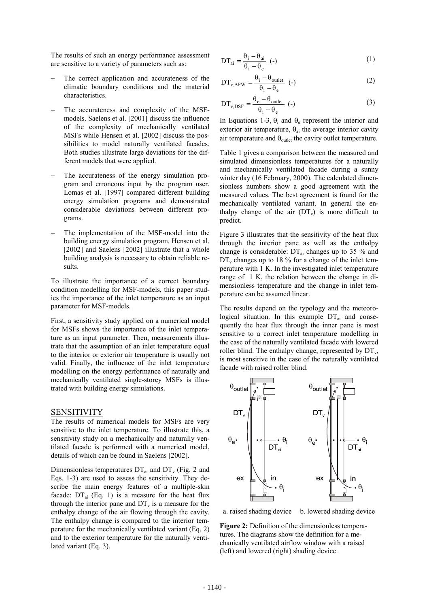The results of such an energy performance assessment are sensitive to a variety of parameters such as:

- The correct application and accurateness of the climatic boundary conditions and the material characteristics.
- The accurateness and complexity of the MSFmodels. Saelens et al. [2001] discuss the influence of the complexity of mechanically ventilated MSFs while Hensen et al. [2002] discuss the possibilities to model naturally ventilated facades. Both studies illustrate large deviations for the different models that were applied.
- The accurateness of the energy simulation program and erroneous input by the program user. Lomas et al. [1997] compared different building energy simulation programs and demonstrated considerable deviations between different programs.
- The implementation of the MSF-model into the building energy simulation program. Hensen et al. [2002] and Saelens [2002] illustrate that a whole building analysis is necessary to obtain reliable results.

To illustrate the importance of a correct boundary condition modelling for MSF-models, this paper studies the importance of the inlet temperature as an input parameter for MSF-models.

First, a sensitivity study applied on a numerical model for MSFs shows the importance of the inlet temperature as an input parameter. Then, measurements illustrate that the assumption of an inlet temperature equal to the interior or exterior air temperature is usually not valid. Finally, the influence of the inlet temperature modelling on the energy performance of naturally and mechanically ventilated single-storey MSFs is illustrated with building energy simulations.

#### **SENSITIVITY**

The results of numerical models for MSFs are very sensitive to the inlet temperature. To illustrate this, a sensitivity study on a mechanically and naturally ventilated facade is performed with a numerical model, details of which can be found in Saelens [2002].

Dimensionless temperatures  $DT_{ai}$  and  $DT_{v}$  (Fig. 2 and Eqs. 1-3) are used to assess the sensitivity. They describe the main energy features of a multiple-skin facade:  $DT_{ai}$  (Eq. 1) is a measure for the heat flux through the interior pane and  $DT_{v}$  is a measure for the enthalpy change of the air flowing through the cavity. The enthalpy change is compared to the interior temperature for the mechanically ventilated variant (Eq. 2) and to the exterior temperature for the naturally ventilated variant (Eq. 3).

$$
DT_{ai} = \frac{\theta_i - \theta_{ai}}{\theta_i - \theta_e} \quad (.)
$$

$$
DT_{v,AFW} = \frac{\theta_i - \theta_{outlet}}{\theta_i - \theta_e} \quad (2)
$$

$$
DT_{v,DSF} = \frac{\theta_e - \theta_{\text{outlet}}}{\theta_i - \theta_e} \quad (.)
$$
 (3)

In Equations 1-3,  $\theta_i$  and  $\theta_e$  represent the interior and exterior air temperature,  $\theta_{ai}$  the average interior cavity air temperature and  $\theta_{\text{outlet}}$  the cavity outlet temperature.

Table 1 gives a comparison between the measured and simulated dimensionless temperatures for a naturally and mechanically ventilated facade during a sunny winter day (16 February, 2000). The calculated dimensionless numbers show a good agreement with the measured values. The best agreement is found for the mechanically ventilated variant. In general the enthalpy change of the air  $(DT_v)$  is more difficult to predict.

Figure 3 illustrates that the sensitivity of the heat flux through the interior pane as well as the enthalpy change is considerable:  $DT_{ai}$  changes up to 35 % and  $DT_v$  changes up to 18 % for a change of the inlet temperature with 1 K. In the investigated inlet temperature range of 1 K, the relation between the change in dimensionless temperature and the change in inlet temperature can be assumed linear.

The results depend on the typology and the meteorological situation. In this example  $DT_{ai}$  and consequently the heat flux through the inner pane is most sensitive to a correct inlet temperature modelling in the case of the naturally ventilated facade with lowered roller blind. The enthalpy change, represented by  $DT_{v}$ , is most sensitive in the case of the naturally ventilated facade with raised roller blind.



a. raised shading device b. lowered shading device

**Figure 2:** Definition of the dimensionless temperatures. The diagrams show the definition for a mechanically ventilated airflow window with a raised (left) and lowered (right) shading device.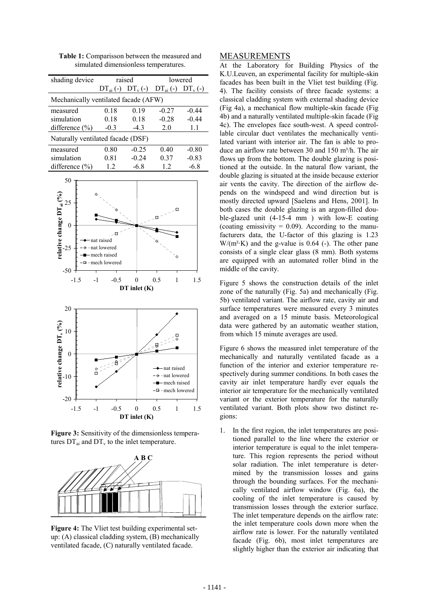| shading device                       | raised        |                        | lowered |           |
|--------------------------------------|---------------|------------------------|---------|-----------|
|                                      | $DT_{ai}$ (-) | $DT_v(-)$ $DT_{ai}(-)$ |         | $DT_v(-)$ |
| Mechanically ventilated facade (AFW) |               |                        |         |           |
| measured                             | 0.18          | 0.19                   | $-0.27$ | $-0.44$   |
| simulation                           | 0.18          | 0.18                   | $-0.28$ | $-0.44$   |
| difference $(\% )$                   | $-0.3$        | $-4.3$                 | 20      | 1.1       |
| Naturally ventilated facade (DSF)    |               |                        |         |           |
| measured                             | 0.80          | $-0.25$                | 040     | $-0.80$   |
| simulation                           | 0.81          | $-0.24$                | 0.37    | $-0.83$   |
| difference $(\% )$                   | 1.2           | $-6.8$                 | 12      | $-6.8$    |
|                                      |               |                        |         |           |

**Table 1:** Comparisson between the measured and simulated dimensionless temperatures.



**Figure 3:** Sensitivity of the dimensionless temperatures  $DT_{ai}$  and  $DT_{v}$  to the inlet temperature.



**Figure 4:** The Vliet test building experimental setup: (A) classical cladding system, (B) mechanically ventilated facade, (C) naturally ventilated facade.

### MEASUREMENTS

At the Laboratory for Building Physics of the K.U.Leuven, an experimental facility for multiple-skin facades has been built in the Vliet test building (Fig. 4). The facility consists of three facade systems: a classical cladding system with external shading device (Fig 4a), a mechanical flow multiple-skin facade (Fig 4b) and a naturally ventilated multiple-skin facade (Fig 4c). The envelopes face south-west. A speed controllable circular duct ventilates the mechanically ventilated variant with interior air. The fan is able to produce an airflow rate between 30 and 150 m<sup>3</sup>/h. The air flows up from the bottom. The double glazing is positioned at the outside. In the natural flow variant, the double glazing is situated at the inside because exterior air vents the cavity. The direction of the airflow depends on the windspeed and wind direction but is mostly directed upward [Saelens and Hens, 2001]. In both cases the double glazing is an argon-filled double-glazed unit (4-15-4 mm ) with low-E coating (coating emissivity  $= 0.09$ ). According to the manufacturers data, the U-factor of this glazing is 1.23  $W/(m^2·K)$  and the g-value is 0.64 (-). The other pane consists of a single clear glass (8 mm). Both systems are equipped with an automated roller blind in the middle of the cavity.

Figure 5 shows the construction details of the inlet zone of the naturally (Fig. 5a) and mechanically (Fig. 5b) ventilated variant. The airflow rate, cavity air and surface temperatures were measured every 3 minutes and averaged on a 15 minute basis. Meteorological data were gathered by an automatic weather station, from which 15 minute averages are used.

Figure 6 shows the measured inlet temperature of the mechanically and naturally ventilated facade as a function of the interior and exterior temperature respectively during summer conditions. In both cases the cavity air inlet temperature hardly ever equals the interior air temperature for the mechanically ventilated variant or the exterior temperature for the naturally ventilated variant. Both plots show two distinct regions:

1. In the first region, the inlet temperatures are positioned parallel to the line where the exterior or interior temperature is equal to the inlet temperature. This region represents the period without solar radiation. The inlet temperature is determined by the transmission losses and gains through the bounding surfaces. For the mechanically ventilated airflow window (Fig. 6a), the cooling of the inlet temperature is caused by transmission losses through the exterior surface. The inlet temperature depends on the airflow rate: the inlet temperature cools down more when the airflow rate is lower. For the naturally ventilated facade (Fig. 6b), most inlet temperatures are slightly higher than the exterior air indicating that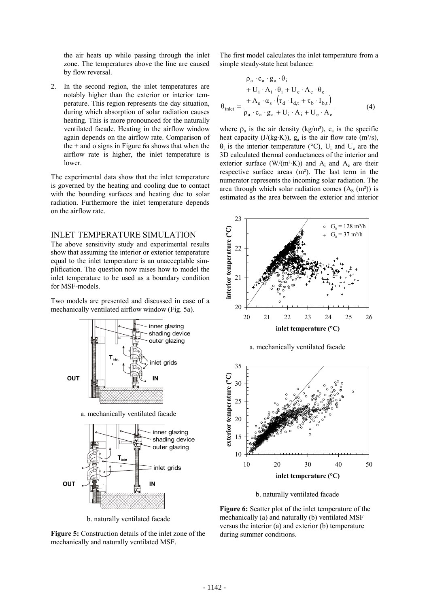the air heats up while passing through the inlet zone. The temperatures above the line are caused by flow reversal.

2. In the second region, the inlet temperatures are notably higher than the exterior or interior temperature. This region represents the day situation, during which absorption of solar radiation causes heating. This is more pronounced for the naturally ventilated facade. Heating in the airflow window again depends on the airflow rate. Comparison of the  $+$  and o signs in Figure 6a shows that when the airflow rate is higher, the inlet temperature is lower.

The experimental data show that the inlet temperature is governed by the heating and cooling due to contact with the bounding surfaces and heating due to solar radiation. Furthermore the inlet temperature depends on the airflow rate.

#### INLET TEMPERATURE SIMULATION

The above sensitivity study and experimental results show that assuming the interior or exterior temperature equal to the inlet temperature is an unacceptable simplification. The question now raises how to model the inlet temperature to be used as a boundary condition for MSF-models.

Two models are presented and discussed in case of a mechanically ventilated airflow window (Fig. 5a).



b. naturally ventilated facade

**Figure 5:** Construction details of the inlet zone of the mechanically and naturally ventilated MSF.

The first model calculates the inlet temperature from a simple steady-state heat balance:

$$
\rho_{a} \cdot c_{a} \cdot g_{a} \cdot \theta_{i}
$$
  
+ U<sub>i</sub> \cdot A<sub>i</sub> \cdot \theta\_{i} + U<sub>e</sub> \cdot A<sub>e</sub> \cdot \theta<sub>e</sub>  

$$
\theta_{\text{inlet}} = \frac{+ A_{s} \cdot \alpha_{s} \cdot (\tau_{d} \cdot I_{d,t} + \tau_{b} \cdot I_{b,t})}{\rho_{a} \cdot c_{a} \cdot g_{a} + U_{i} \cdot A_{i} + U_{e} \cdot A_{e}}
$$
(4)

where  $\rho_a$  is the air density (kg/m<sup>3</sup>),  $c_a$  is the specific heat capacity (J/(kg·K)),  $g_a$  is the air flow rate (m<sup>3</sup>/s),  $\theta_i$  is the interior temperature (°C), U<sub>i</sub> and U<sub>e</sub> are the 3D calculated thermal conductances of the interior and exterior surface ( $W/(m^2·K)$ ) and  $A_i$  and  $A_e$  are their respective surface areas (m²). The last term in the numerator represents the incoming solar radiation. The area through which solar radiation comes  $(A<sub>S</sub> (m<sup>2</sup>))$  is estimated as the area between the exterior and interior



a. mechanically ventilated facade



b. naturally ventilated facade

**Figure 6:** Scatter plot of the inlet temperature of the mechanically (a) and naturally (b) ventilated MSF versus the interior (a) and exterior (b) temperature during summer conditions.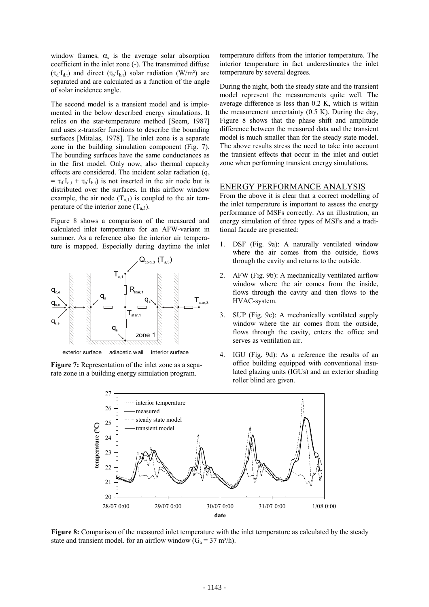window frames,  $\alpha_s$  is the average solar absorption coefficient in the inlet zone (-). The transmitted diffuse  $(\tau_d \cdot I_{d,t})$  and direct  $(\tau_b \cdot I_{b,t})$  solar radiation (W/m<sup>2</sup>) are separated and are calculated as a function of the angle of solar incidence angle.

The second model is a transient model and is implemented in the below described energy simulations. It relies on the star-temperature method [Seem, 1987] and uses z-transfer functions to describe the bounding surfaces [Mitalas, 1978]. The inlet zone is a separate zone in the building simulation component (Fig. 7). The bounding surfaces have the same conductances as in the first model. Only now, also thermal capacity effects are considered. The incident solar radiation  $(q_s)$  $= \tau_d \cdot I_{d,t} + \tau_b \cdot I_{b,t}$  is not inserted in the air node but is distributed over the surfaces. In this airflow window example, the air node  $(T_{a,1})$  is coupled to the air temperature of the interior zone  $(T_{a,3})$ .

Figure 8 shows a comparison of the measured and calculated inlet temperature for an AFW-variant in summer. As a reference also the interior air temperature is mapped. Especially during daytime the inlet



exterior surface adiabatic wall interior surface

**Figure 7:** Representation of the inlet zone as a separate zone in a building energy simulation program.

temperature differs from the interior temperature. The interior temperature in fact underestimates the inlet temperature by several degrees.

During the night, both the steady state and the transient model represent the measurements quite well. The average difference is less than 0.2 K, which is within the measurement uncertainty  $(0.5 K)$ . During the day, Figure 8 shows that the phase shift and amplitude difference between the measured data and the transient model is much smaller than for the steady state model. The above results stress the need to take into account the transient effects that occur in the inlet and outlet zone when performing transient energy simulations.

#### ENERGY PERFORMANCE ANALYSIS

From the above it is clear that a correct modelling of the inlet temperature is important to assess the energy performance of MSFs correctly. As an illustration, an energy simulation of three types of MSFs and a traditional facade are presented:

- 1. DSF (Fig. 9a): A naturally ventilated window where the air comes from the outside, flows through the cavity and returns to the outside.
- 2. AFW (Fig. 9b): A mechanically ventilated airflow window where the air comes from the inside, flows through the cavity and then flows to the HVAC-system.
- 3. SUP (Fig. 9c): A mechanically ventilated supply window where the air comes from the outside, flows through the cavity, enters the office and serves as ventilation air.
- 4. IGU (Fig. 9d): As a reference the results of an office building equipped with conventional insulated glazing units (IGUs) and an exterior shading roller blind are given.



**Figure 8:** Comparison of the measured inlet temperature with the inlet temperature as calculated by the steady state and transient model. for an airflow window  $(G_a = 37 \text{ m}^3/\text{h})$ .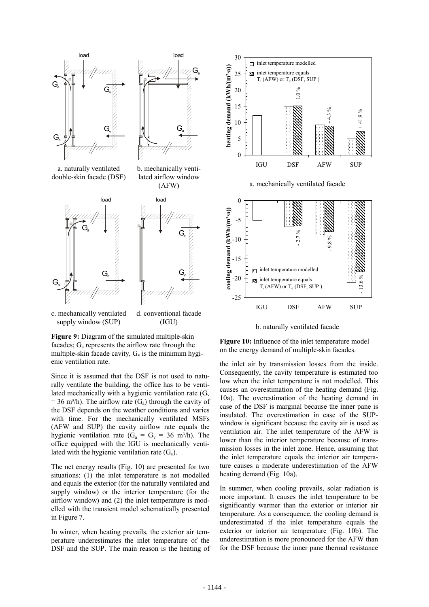



a. naturally ventilated double-skin facade (DSF)

b. mechanically ventilated airflow window (AFW)



c. mechanically ventilated supply window (SUP) d. conventional facade (IGU)

**Figure 9:** Diagram of the simulated multiple-skin facades;  $G_a$  represents the airflow rate through the multiple-skin facade cavity,  $G_v$  is the minimum hygienic ventilation rate.

Since it is assumed that the DSF is not used to naturally ventilate the building, the office has to be ventilated mechanically with a hygienic ventilation rate  $(G_v)$  $= 36$  m<sup>3</sup>/h). The airflow rate (G<sub>a</sub>) through the cavity of the DSF depends on the weather conditions and varies with time. For the mechanically ventilated MSFs (AFW and SUP) the cavity airflow rate equals the hygienic ventilation rate ( $G_a = G_v = 36$  m<sup>3</sup>/h). The office equipped with the IGU is mechanically ventilated with the hygienic ventilation rate  $(G_v)$ .

The net energy results (Fig. 10) are presented for two situations: (1) the inlet temperature is not modelled and equals the exterior (for the naturally ventilated and supply window) or the interior temperature (for the airflow window) and (2) the inlet temperature is modelled with the transient model schematically presented in Figure 7.

In winter, when heating prevails, the exterior air temperature underestimates the inlet temperature of the DSF and the SUP. The main reason is the heating of





b. naturally ventilated facade

**Figure 10:** Influence of the inlet temperature model on the energy demand of multiple-skin facades.

the inlet air by transmission losses from the inside. Consequently, the cavity temperature is estimated too low when the inlet temperature is not modelled. This causes an overestimation of the heating demand (Fig. 10a). The overestimation of the heating demand in case of the DSF is marginal because the inner pane is insulated. The overestimation in case of the SUPwindow is significant because the cavity air is used as ventilation air. The inlet temperature of the AFW is lower than the interior temperature because of transmission losses in the inlet zone. Hence, assuming that the inlet temperature equals the interior air temperature causes a moderate underestimation of the AFW heating demand (Fig. 10a).

In summer, when cooling prevails, solar radiation is more important. It causes the inlet temperature to be significantly warmer than the exterior or interior air temperature. As a consequence, the cooling demand is underestimated if the inlet temperature equals the exterior or interior air temperature (Fig. 10b). The underestimation is more pronounced for the AFW than for the DSF because the inner pane thermal resistance